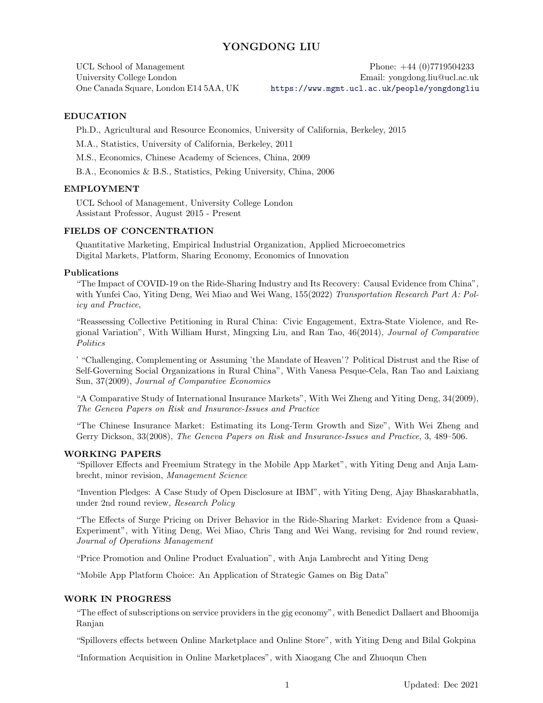# YONGDONG LIU

UCL School of Management Phone:  $+44$  (0)7719504233 University College London Email: yongdong.liu@ucl.ac.uk One Canada Square, London E14 5AA, UK <https://www.mgmt.ucl.ac.uk/people/yongdongliu>

#### EDUCATION

Ph.D., Agricultural and Resource Economics, University of California, Berkeley, 2015

M.A., Statistics, University of California, Berkeley, 2011

M.S., Economics, Chinese Academy of Sciences, China, 2009

B.A., Economics & B.S., Statistics, Peking University, China, 2006

#### EMPLOYMENT

UCL School of Management, University College London Assistant Professor, August 2015 - Present

#### FIELDS OF CONCENTRATION

Quantitative Marketing, Empirical Industrial Organization, Applied Microecometrics Digital Markets, Platform, Sharing Economy, Economics of Innovation

## Publications

"The Impact of COVID-19 on the Ride-Sharing Industry and Its Recovery: Causal Evidence from China", with Yunfei Cao, Yiting Deng, Wei Miao and Wei Wang, 155(2022) Transportation Research Part A: Policy and Practice,

"Reassessing Collective Petitioning in Rural China: Civic Engagement, Extra-State Violence, and Regional Variation", With William Hurst, Mingxing Liu, and Ran Tao, 46(2014), Journal of Comparative **Politics** 

' "Challenging, Complementing or Assuming 'the Mandate of Heaven'? Political Distrust and the Rise of Self-Governing Social Organizations in Rural China", With Vanesa Pesque-Cela, Ran Tao and Laixiang Sun, 37(2009), Journal of Comparative Economics

"A Comparative Study of International Insurance Markets", With Wei Zheng and Yiting Deng, 34(2009), The Geneva Papers on Risk and Insurance-Issues and Practice

"The Chinese Insurance Market: Estimating its Long-Term Growth and Size", With Wei Zheng and Gerry Dickson, 33(2008), The Geneva Papers on Risk and Insurance-Issues and Practice, 3, 489–506.

#### WORKING PAPERS

"Spillover Effects and Freemium Strategy in the Mobile App Market", with Yiting Deng and Anja Lambrecht, minor revision, Management Science

"Invention Pledges: A Case Study of Open Disclosure at IBM", with Yiting Deng, Ajay Bhaskarabhatla, under 2nd round review, Research Policy

"The Effects of Surge Pricing on Driver Behavior in the Ride-Sharing Market: Evidence from a Quasi-Experiment", with Yiting Deng, Wei Miao, Chris Tang and Wei Wang, revising for 2nd round review, Journal of Operations Management

"Price Promotion and Online Product Evaluation", with Anja Lambrecht and Yiting Deng

"Mobile App Platform Choice: An Application of Strategic Games on Big Data"

### WORK IN PROGRESS

"The effect of subscriptions on service providers in the gig economy", with Benedict Dallaert and Bhoomija Ranjan

"Spillovers effects between Online Marketplace and Online Store", with Yiting Deng and Bilal Gokpina

"Information Acquisition in Online Marketplaces", with Xiaogang Che and Zhuoqun Chen